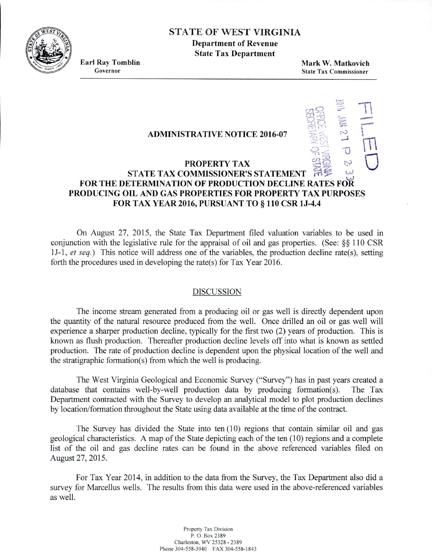

# STATE OF WEST VIRGINIA

**Department of Revenue State Tax Department**

**Earl Ray Tomblin** Governor

Mark W. Matkovich **State Tax Commissioner**

—n

U

## **ADMINISTRATIVE NOTICE 2016-07**

#### $\bigcup$ **PROPERTY TAX STATE TAX COMMISSIONER'S STATEMENT LU LU FOR THE DETERMINATION OF PRODUCTION DECLINE RATES FOR PRODUCING OIL AND GAS PROPERTIES FOR PROPERTY TAX PURPOSES FOR TAX YEAR 2016, PURSUANT TO** § **110 CSR 1J-4.4**

On August 27, 2015, the State Tax Department filed valuation variables to be used in conjunction with the legislative rule for the appraisal of oil and gas properties. (See:  $\$ \ 110 CSR *1J-1, et seq.)* This notice will address one of the variables, the production decline rate(s), setting forth the procedures used in developing the rate(s) for Tax Year 2016.

#### DISCUSSION

The income stream generated from a producing oil or gas well is directly dependent upon the quantity of the natural resource produced from the well. Once drilled an oil or gas well will experience a sharper production decline, typically for the first two (2) years of production. This is known as flush production. Thereafter production decline levels off into what is known as settled production. The rate of production decline is dependent upon the physical location of the well and the stratigraphic formation(s) from which the well is producing.

The West Virginia Geological and Economic Survey ("Survey") has in past years created a database that contains well-by-well production data by producing formation(s). The Tax Department contracted with the Survey to develop an analytical model to plot production declines by location/formation throughout the State using data available at the time of the contract.

The Survey has divided the State into ten (10) regions that contain similar oil and gas geological characteristics. A map of the State depicting each of the ten (10) regions and a complete list of the oil and gas decline rates can be found in the above referenced variables filed on August 27, 2015.

For Tax Year 2014, in addition to the data from the Survey, the Tax Department also did a survey for Marcellus wells. The results from this data were used in the above-referenced variables as well.

> Property Tax Division P. 0. Box 2389 Charleston, WV 25328 -2389 Phone 304-558-3940 FAX 304-558-1843